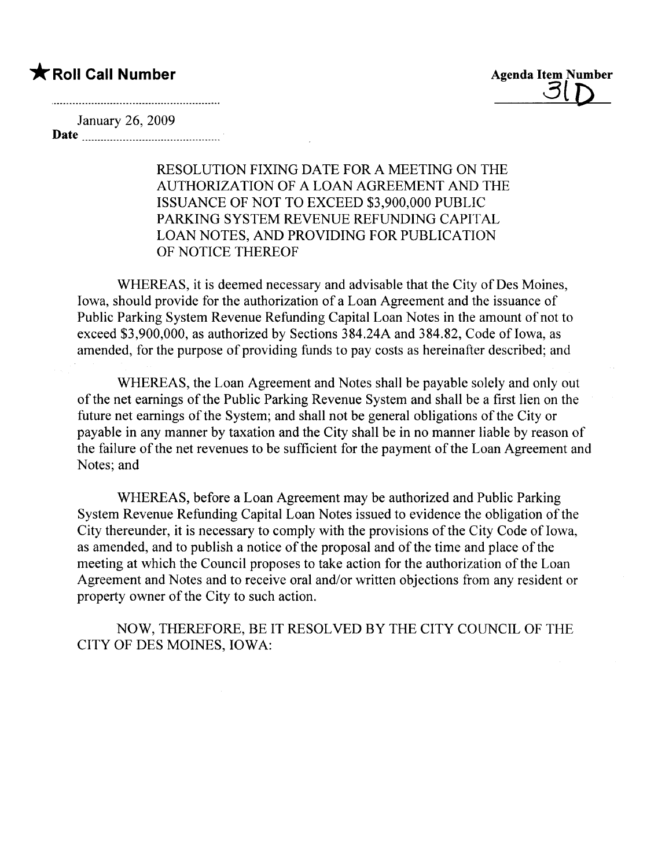**\*** Roll Call Number Agenda Item Number Agenda Item Number Agenda Item Number

January 26, 2009 Date

> RESOLUTION FIXING DATE FOR A MEETING ON THE AUTHORIZA TION OF A LOAN AGREEMENT AND THE ISSUANCE OF NOT TO EXCEED \$3,900,000 PUBLIC PARKING SYSTEM REVENUE REFUNDING CAPITAL LOAN NOTES, AND PROVIDING FOR PUBLICATION OF NOTICE THEREOF

WHEREAS, it is deemed necessary and advisable that the City of Des Moines, Iowa, should provide for the authorization of a Loan Agreement and the issuance of Public Parking System Revenue Refunding Capital Loan Notes in the amount of not to exceed \$3,900,000, as authorized by Sections  $384.24A$  and  $384.82$ , Code of Iowa, as amended, for the purpose of providing funds to pay costs as hereinafter described; and

WHEREAS, the Loan Agreement and Notes shall be payable solely and only out of the net earnings of the Public Parking Revenue System and shall be a first lien on the future net earnings of the System; and shall not be general obligations of the City or payable in any manner by taxation and the City shall be in no manner liable by reason of the failure of the net revenues to be sufficient for the payment of the Loan Agreement and Notes; and

WHEREAS, before a Loan Agreement may be authorized and Public Parking System Revenue Refunding Capital Loan Notes issued to evidence the obligation of the City thereunder, it is necessary to comply with the provisions of the City Code of Iowa, as amended, and to publish a notice of the proposal and of the time and place of the meeting at which the Council proposes to take action for the authorization of the Loan Agreement and Notes and to receive oral and/or written objections from any resident or property owner of the City to such action.

NOW, THEREFORE, BE IT RESOLVED BY THE CITY COUNCIL OF THE CITY OF DES MOINES, IOWA: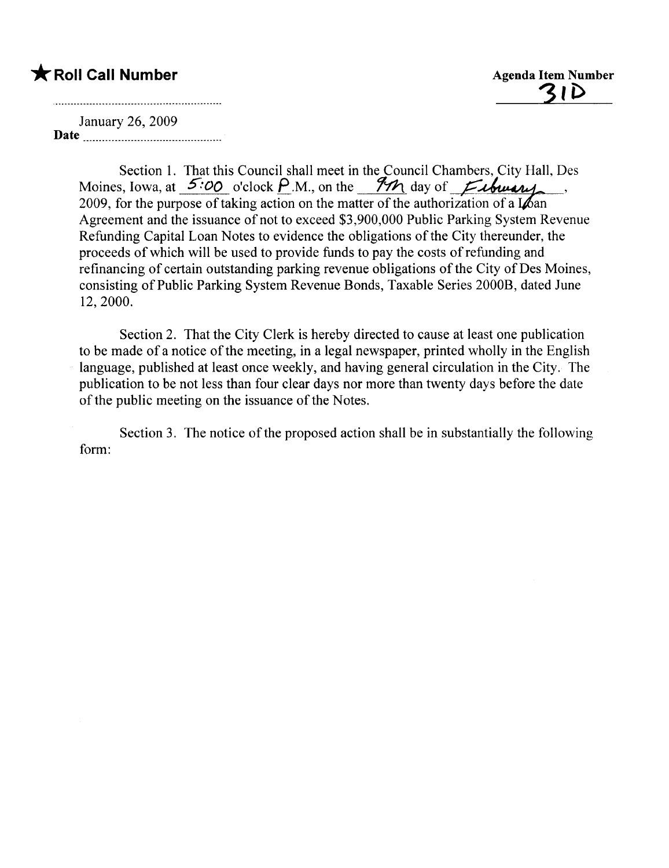## \* Roll Call Number Agenda Item Number

<u>31ì</u>

January 26,2009 Date

> Section 1. That this Council shall meet in the Council Chambers, City Hall, Des Moines, Iowa, at  $5:00$  o'clock P.M., on the 9<sup>7</sup>*M* day of *Exhibity* 2009, for the purpose of taking action on the matter of the authorization of a  $\log$ Agreement and the issuance of not to exceed \$3,900,000 Public Parking System Revenue Refunding Capital Loan Notes to evidence the obligations of the City thereunder, the proceeds of which wil be used to provide funds to pay the costs of refunding and refinancing of certain outstanding parking revenue obligations of the City of Des Moines, consisting of Public Parking System Revenue Bonds, Taxable Series 2000B, dated June 12,2000.

> Section 2. That the City Clerk is hereby directed to cause at least one publication to be made of a notice of the meeting, in a legal newspaper, printed wholly in the English language, published at least once weekly, and having general circulation in the City. The publication to be not less than four clear days nor more than twenty days before the date of the public meeting on the issuance of the Notes.

> Section 3. The notice of the proposed action shall be in substantially the following form: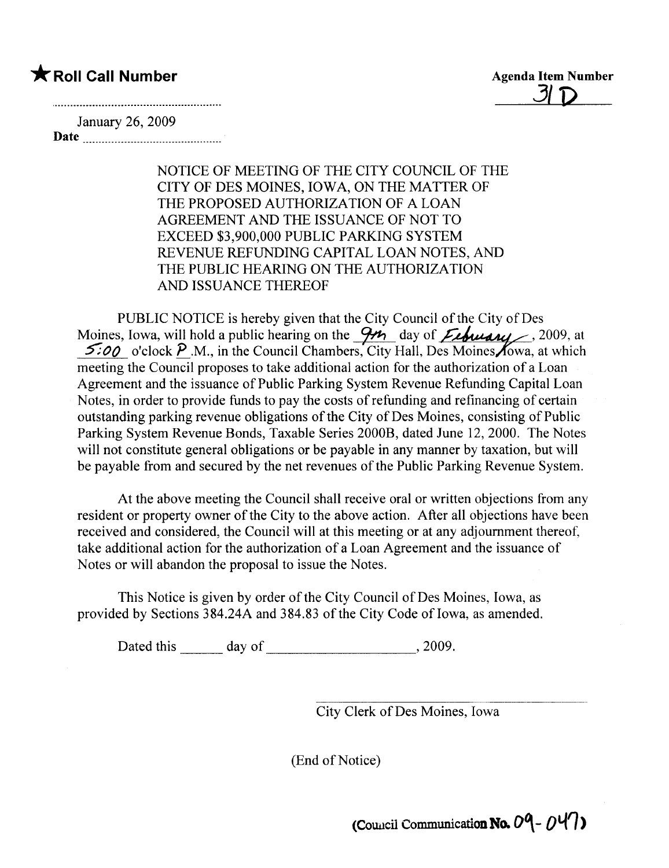## \* Roll Call Number Agenda Item Number

 $\overline{\mathcal{3}}$ 

January 26, 2009 Date

> NOTICE OF MEETING OF THE CITY COUNCIL OF THE CITY OF DES MOINES, IOWA, ON THE MATTER OF THE PROPOSED AUTHORIZATION OF A LOAN AGREEMENT AND THE ISSUANCE OF NOT TO EXCEED \$3,900,000 PUBLIC PARKING SYSTEM REVENUE REFUNDING CAPITAL LOAN NOTES, AND THE PUBLIC HEARING ON THE AUTHORIZATION AND ISSUANCE THEREOF

PUBLIC NOTICE is hereby given that the City Council of the City of Des Moines, Iowa, will hold a public hearing on the  $\frac{9}{4}$  day of *Extremis*, 2009, at  $5.00$  o'clock P.M., in the Council Chambers, City Hall, Des Moines Yowa, at which meeting the Council proposes to take additional action for the authorization of a Loan Agreement and the issuance of Public Parking System Revenue Refunding Capital Loan Notes, in order to provide funds to pay the costs of refunding and refinancing of certain outstanding parking revenue obligations of the City of Des Moines, consisting of Public Parking System Revenue Bonds, Taxable Series 2000B, dated June 12,2000. The Notes will not constitute general obligations or be payable in any manner by taxation, but will be payable from and secured by the net revenues of the Public Parking Revenue System.

At the above meeting the Council shall receive oral or written objections from any resident or property owner of the City to the above action. After all objections have been received and considered, the Council will at this meeting or at any adjournment thereof, take additional action for the authorization of a Loan Agreement and the issuance of Notes or will abandon the proposal to issue the Notes.

This Notice is given by order of the City Council of Des Moines, Iowa, as provided by Sections 384.24A and 384.83 of the City Code of Iowa, as amended.

Dated this day of , 2009.

City Clerk of Des Moines, Iowa

(End of Notice)

(Council Communication No.  $09 - 047$ )